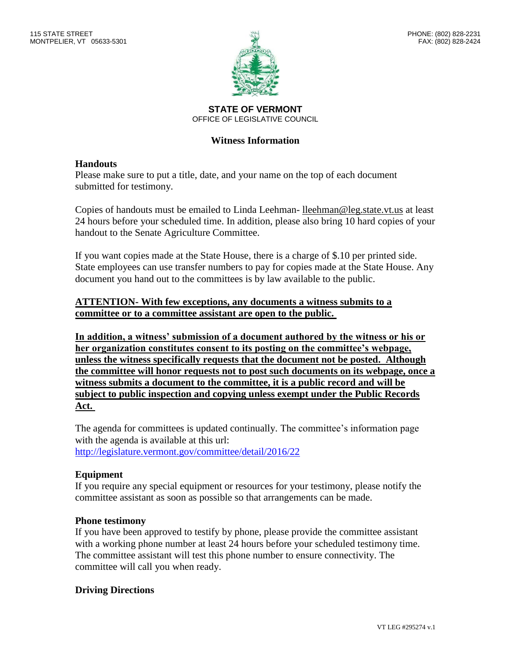

**STATE OF VERMONT** OFFICE OF LEGISLATIVE COUNCIL

# **Witness Information**

## **Handouts**

Please make sure to put a title, date, and your name on the top of each document submitted for testimony.

Copies of handouts must be emailed to Linda Leehman- lleehman@leg.state.vt.us at least 24 hours before your scheduled time. In addition, please also bring 10 hard copies of your handout to the Senate Agriculture Committee.

If you want copies made at the State House, there is a charge of \$.10 per printed side. State employees can use transfer numbers to pay for copies made at the State House. Any document you hand out to the committees is by law available to the public.

## **ATTENTION- With few exceptions, any documents a witness submits to a committee or to a committee assistant are open to the public.**

**In addition, a witness' submission of a document authored by the witness or his or her organization constitutes consent to its posting on the committee's webpage, unless the witness specifically requests that the document not be posted. Although the committee will honor requests not to post such documents on its webpage, once a witness submits a document to the committee, it is a public record and will be subject to public inspection and copying unless exempt under the Public Records Act.**

The agenda for committees is updated continually. The committee's information page with the agenda is available at this url: <http://legislature.vermont.gov/committee/detail/2016/22>

# **Equipment**

If you require any special equipment or resources for your testimony, please notify the committee assistant as soon as possible so that arrangements can be made.

## **Phone testimony**

If you have been approved to testify by phone, please provide the committee assistant with a working phone number at least 24 hours before your scheduled testimony time. The committee assistant will test this phone number to ensure connectivity. The committee will call you when ready.

## **Driving Directions**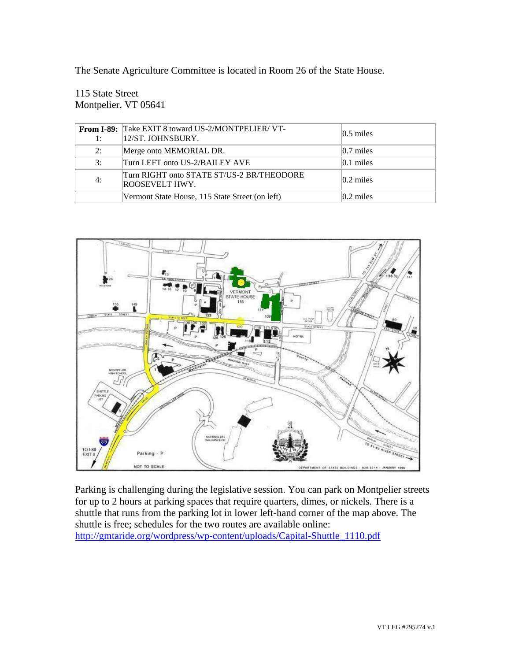The Senate Agriculture Committee is located in Room 26 of the State House.

# 115 State Street Montpelier, VT 05641

| 1:             | From I-89: Take EXIT 8 toward US-2/MONTPELIER/VT-<br>12/ST. JOHNSBURY. | $ 0.5 \text{ miles} $ |
|----------------|------------------------------------------------------------------------|-----------------------|
| 2:             | Merge onto MEMORIAL DR.                                                | $ 0.7 \text{ miles} $ |
| $\mathbf{3}$ : | Turn LEFT onto US-2/BAILEY AVE                                         | $ 0.1 \text{ miles} $ |
| 4:             | Turn RIGHT onto STATE ST/US-2 BR/THEODORE<br>ROOSEVELT HWY.            | $ 0.2 \text{ miles} $ |
|                | Vermont State House, 115 State Street (on left)                        | $ 0.2 \text{ miles} $ |



Parking is challenging during the legislative session. You can park on Montpelier streets for up to 2 hours at parking spaces that require quarters, dimes, or nickels. There is a shuttle that runs from the parking lot in lower left-hand corner of the map above. The shuttle is free; schedules for the two routes are available online: [http://gmtaride.org/wordpress/wp-content/uploads/Capital-Shuttle\\_1110.pdf](http://gmtaride.org/wordpress/wp-content/uploads/Capital-Shuttle_1110.pdf)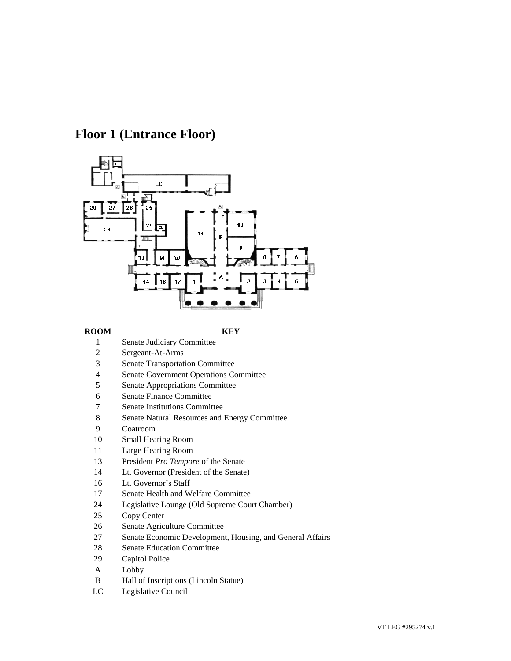# **Floor 1 (Entrance Floor)**



### **ROOM KEY**

- Senate Judiciary Committee
- Sergeant-At-Arms
- Senate Transportation Committee
- Senate Government Operations Committee
- Senate Appropriations Committee
- Senate Finance Committee
- Senate Institutions Committee
- Senate Natural Resources and Energy Committee
- Coatroom
- Small Hearing Room
- Large Hearing Room
- President *Pro Tempore* of the Senate
- Lt. Governor (President of the Senate)
- Lt. Governor's Staff
- Senate Health and Welfare Committee
- Legislative Lounge (Old Supreme Court Chamber)
- Copy Center
- Senate Agriculture Committee
- Senate Economic Development, Housing, and General Affairs
- Senate Education Committee
- Capitol Police
- A Lobby
- B Hall of Inscriptions (Lincoln Statue)
- LC Legislative Council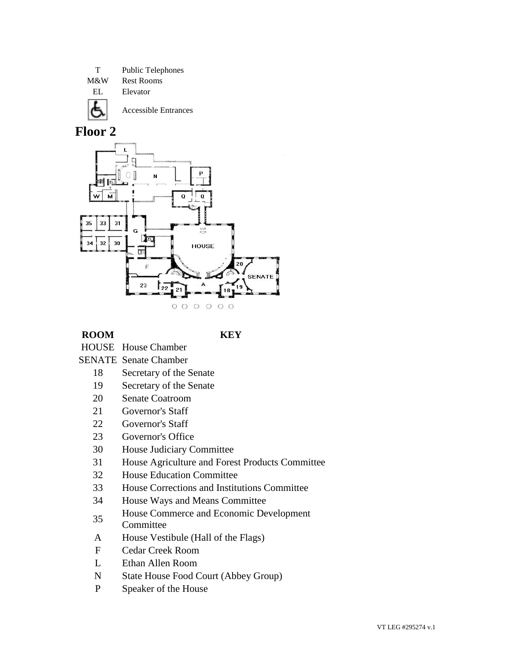T Public Telephones M&W Rest Rooms EL Elevator Accessible Entrances



## **ROOM KEY**

- HOUSE House Chamber
- SENATE Senate Chamber
	- 18 Secretary of the Senate
	- 19 Secretary of the Senate
	- 20 Senate Coatroom
	- 21 Governor's Staff
	- 22 Governor's Staff
	- 23 Governor's Office
	- 30 House Judiciary Committee
	- 31 House Agriculture and Forest Products Committee
	- 32 House Education Committee
	- 33 House Corrections and Institutions Committee
	- 34 House Ways and Means Committee
	- 35 House Commerce and Economic Development **Committee**
	- A House Vestibule (Hall of the Flags)
	- F Cedar Creek Room
	- L Ethan Allen Room
	- N State House Food Court (Abbey Group)
	- P Speaker of the House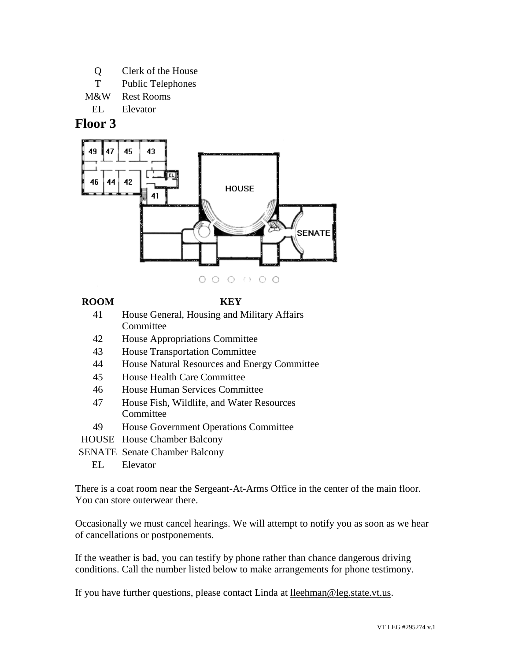- Q Clerk of the House
- T Public Telephones
- M&W Rest Rooms

EL Elevator

# **Floor 3**



 $0000000$ 

# **ROOM KEY**

- 41 House General, Housing and Military Affairs **Committee**
- 42 House Appropriations Committee
- 43 House Transportation Committee
- 44 House Natural Resources and Energy Committee
- 45 House Health Care Committee
- 46 House Human Services Committee
- 47 House Fish, Wildlife, and Water Resources Committee
- 49 House Government Operations Committee
- HOUSE House Chamber Balcony
- SENATE Senate Chamber Balcony
	- EL Elevator

There is a coat room near the Sergeant-At-Arms Office in the center of the main floor. You can store outerwear there.

Occasionally we must cancel hearings. We will attempt to notify you as soon as we hear of cancellations or postponements.

If the weather is bad, you can testify by phone rather than chance dangerous driving conditions. Call the number listed below to make arrangements for phone testimony.

If you have further questions, please contact Linda at lleehman@leg.state.vt.us.